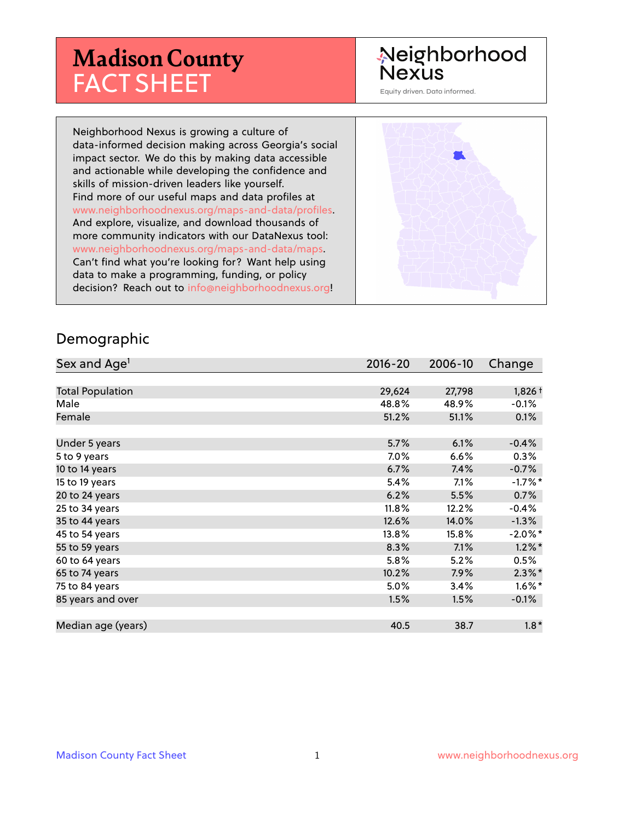## **Madison County** FACT SHEET

### Neighborhood **Nexus**

Equity driven. Data informed.

Neighborhood Nexus is growing a culture of data-informed decision making across Georgia's social impact sector. We do this by making data accessible and actionable while developing the confidence and skills of mission-driven leaders like yourself. Find more of our useful maps and data profiles at www.neighborhoodnexus.org/maps-and-data/profiles. And explore, visualize, and download thousands of more community indicators with our DataNexus tool: www.neighborhoodnexus.org/maps-and-data/maps. Can't find what you're looking for? Want help using data to make a programming, funding, or policy decision? Reach out to [info@neighborhoodnexus.org!](mailto:info@neighborhoodnexus.org)



#### Demographic

| Sex and Age <sup>1</sup> | $2016 - 20$ | 2006-10 | Change     |
|--------------------------|-------------|---------|------------|
|                          |             |         |            |
| <b>Total Population</b>  | 29,624      | 27,798  | $1,826+$   |
| Male                     | 48.8%       | 48.9%   | $-0.1%$    |
| Female                   | 51.2%       | 51.1%   | 0.1%       |
|                          |             |         |            |
| Under 5 years            | 5.7%        | 6.1%    | $-0.4%$    |
| 5 to 9 years             | 7.0%        | 6.6%    | 0.3%       |
| 10 to 14 years           | 6.7%        | 7.4%    | $-0.7%$    |
| 15 to 19 years           | 5.4%        | 7.1%    | $-1.7%$ *  |
| 20 to 24 years           | 6.2%        | 5.5%    | 0.7%       |
| 25 to 34 years           | 11.8%       | 12.2%   | $-0.4%$    |
| 35 to 44 years           | 12.6%       | 14.0%   | $-1.3\%$   |
| 45 to 54 years           | 13.8%       | 15.8%   | $-2.0\%$ * |
| 55 to 59 years           | 8.3%        | 7.1%    | $1.2\%$ *  |
| 60 to 64 years           | 5.8%        | 5.2%    | 0.5%       |
| 65 to 74 years           | 10.2%       | 7.9%    | $2.3\%$ *  |
| 75 to 84 years           | 5.0%        | 3.4%    | $1.6\%$ *  |
| 85 years and over        | 1.5%        | 1.5%    | $-0.1%$    |
|                          |             |         |            |
| Median age (years)       | 40.5        | 38.7    | $1.8*$     |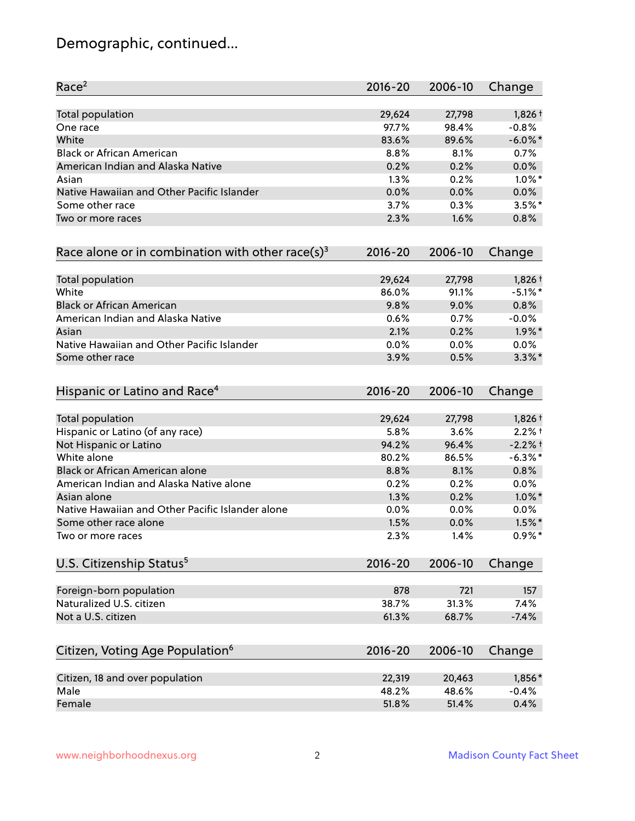### Demographic, continued...

| Race <sup>2</sup>                                            | $2016 - 20$ | 2006-10 | Change     |
|--------------------------------------------------------------|-------------|---------|------------|
| <b>Total population</b>                                      | 29,624      | 27,798  | $1,826+$   |
| One race                                                     | 97.7%       | 98.4%   | $-0.8%$    |
| White                                                        | 83.6%       | 89.6%   | $-6.0\%$ * |
| <b>Black or African American</b>                             | 8.8%        | 8.1%    | 0.7%       |
| American Indian and Alaska Native                            | 0.2%        | 0.2%    | 0.0%       |
| Asian                                                        | 1.3%        | 0.2%    | $1.0\%$ *  |
| Native Hawaiian and Other Pacific Islander                   | 0.0%        | 0.0%    | 0.0%       |
| Some other race                                              | 3.7%        | 0.3%    | $3.5%$ *   |
| Two or more races                                            | 2.3%        | 1.6%    | 0.8%       |
| Race alone or in combination with other race(s) <sup>3</sup> | $2016 - 20$ | 2006-10 | Change     |
| Total population                                             | 29,624      | 27,798  | 1,826 +    |
| White                                                        | 86.0%       | 91.1%   | $-5.1\%$ * |
| <b>Black or African American</b>                             | 9.8%        | 9.0%    | 0.8%       |
| American Indian and Alaska Native                            | 0.6%        | 0.7%    | $-0.0%$    |
| Asian                                                        | 2.1%        | 0.2%    | $1.9\%$ *  |
| Native Hawaiian and Other Pacific Islander                   | 0.0%        | 0.0%    | $0.0\%$    |
| Some other race                                              | 3.9%        | 0.5%    | $3.3\%$ *  |
| Hispanic or Latino and Race <sup>4</sup>                     | $2016 - 20$ | 2006-10 | Change     |
| <b>Total population</b>                                      | 29,624      | 27,798  | $1,826+$   |
| Hispanic or Latino (of any race)                             | 5.8%        | 3.6%    | $2.2%$ +   |
| Not Hispanic or Latino                                       | 94.2%       | 96.4%   | $-2.2%$ †  |
| White alone                                                  | 80.2%       | 86.5%   | $-6.3\%$ * |
| Black or African American alone                              | 8.8%        | 8.1%    | 0.8%       |
| American Indian and Alaska Native alone                      | 0.2%        | 0.2%    | 0.0%       |
| Asian alone                                                  | 1.3%        | 0.2%    | $1.0\%$ *  |
| Native Hawaiian and Other Pacific Islander alone             | 0.0%        | 0.0%    | $0.0\%$    |
| Some other race alone                                        | 1.5%        | 0.0%    | $1.5\%$ *  |
| Two or more races                                            | 2.3%        | 1.4%    | $0.9\%*$   |
| U.S. Citizenship Status <sup>5</sup>                         | $2016 - 20$ | 2006-10 | Change     |
| Foreign-born population                                      | 878         | 721     | 157        |
| Naturalized U.S. citizen                                     | 38.7%       | 31.3%   | 7.4%       |
| Not a U.S. citizen                                           | 61.3%       | 68.7%   | $-7.4%$    |
| Citizen, Voting Age Population <sup>6</sup>                  | $2016 - 20$ | 2006-10 | Change     |
| Citizen, 18 and over population                              | 22,319      | 20,463  | 1,856*     |
| Male                                                         | 48.2%       | 48.6%   | $-0.4%$    |
| Female                                                       | 51.8%       | 51.4%   | 0.4%       |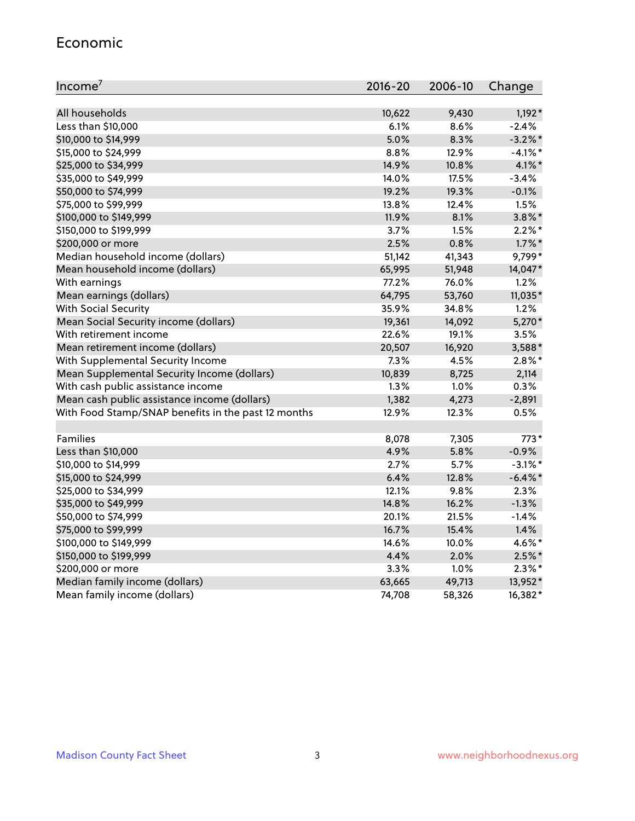#### Economic

| Income <sup>7</sup>                                 | $2016 - 20$ | 2006-10 | Change     |
|-----------------------------------------------------|-------------|---------|------------|
|                                                     |             |         |            |
| All households                                      | 10,622      | 9,430   | $1,192*$   |
| Less than \$10,000                                  | 6.1%        | 8.6%    | $-2.4%$    |
| \$10,000 to \$14,999                                | 5.0%        | 8.3%    | $-3.2%$ *  |
| \$15,000 to \$24,999                                | 8.8%        | 12.9%   | $-4.1\%$ * |
| \$25,000 to \$34,999                                | 14.9%       | 10.8%   | $4.1\%$ *  |
| \$35,000 to \$49,999                                | 14.0%       | 17.5%   | $-3.4%$    |
| \$50,000 to \$74,999                                | 19.2%       | 19.3%   | $-0.1%$    |
| \$75,000 to \$99,999                                | 13.8%       | 12.4%   | 1.5%       |
| \$100,000 to \$149,999                              | 11.9%       | 8.1%    | $3.8\%$ *  |
| \$150,000 to \$199,999                              | 3.7%        | 1.5%    | $2.2\%$ *  |
| \$200,000 or more                                   | 2.5%        | 0.8%    | $1.7\%$ *  |
| Median household income (dollars)                   | 51,142      | 41,343  | 9,799*     |
| Mean household income (dollars)                     | 65,995      | 51,948  | 14,047*    |
| With earnings                                       | 77.2%       | 76.0%   | 1.2%       |
| Mean earnings (dollars)                             | 64,795      | 53,760  | 11,035*    |
| <b>With Social Security</b>                         | 35.9%       | 34.8%   | 1.2%       |
| Mean Social Security income (dollars)               | 19,361      | 14,092  | 5,270*     |
| With retirement income                              | 22.6%       | 19.1%   | 3.5%       |
| Mean retirement income (dollars)                    | 20,507      | 16,920  | 3,588*     |
| With Supplemental Security Income                   | 7.3%        | 4.5%    | $2.8\%$ *  |
| Mean Supplemental Security Income (dollars)         | 10,839      | 8,725   | 2,114      |
| With cash public assistance income                  | 1.3%        | 1.0%    | 0.3%       |
| Mean cash public assistance income (dollars)        | 1,382       | 4,273   | $-2,891$   |
| With Food Stamp/SNAP benefits in the past 12 months | 12.9%       | 12.3%   | 0.5%       |
|                                                     |             |         |            |
| Families                                            | 8,078       | 7,305   | 773*       |
| Less than \$10,000                                  | 4.9%        | 5.8%    | $-0.9%$    |
| \$10,000 to \$14,999                                | 2.7%        | 5.7%    | $-3.1\%$ * |
| \$15,000 to \$24,999                                | 6.4%        | 12.8%   | $-6.4\%$ * |
| \$25,000 to \$34,999                                | 12.1%       | 9.8%    | 2.3%       |
| \$35,000 to \$49,999                                | 14.8%       | 16.2%   | $-1.3%$    |
| \$50,000 to \$74,999                                | 20.1%       | 21.5%   | $-1.4%$    |
| \$75,000 to \$99,999                                | 16.7%       | 15.4%   | 1.4%       |
| \$100,000 to \$149,999                              | 14.6%       | 10.0%   | 4.6%*      |
| \$150,000 to \$199,999                              | 4.4%        | 2.0%    | $2.5\%$ *  |
| \$200,000 or more                                   | 3.3%        | 1.0%    | $2.3\%$ *  |
| Median family income (dollars)                      | 63,665      | 49,713  | 13,952*    |
| Mean family income (dollars)                        | 74,708      | 58,326  | 16,382*    |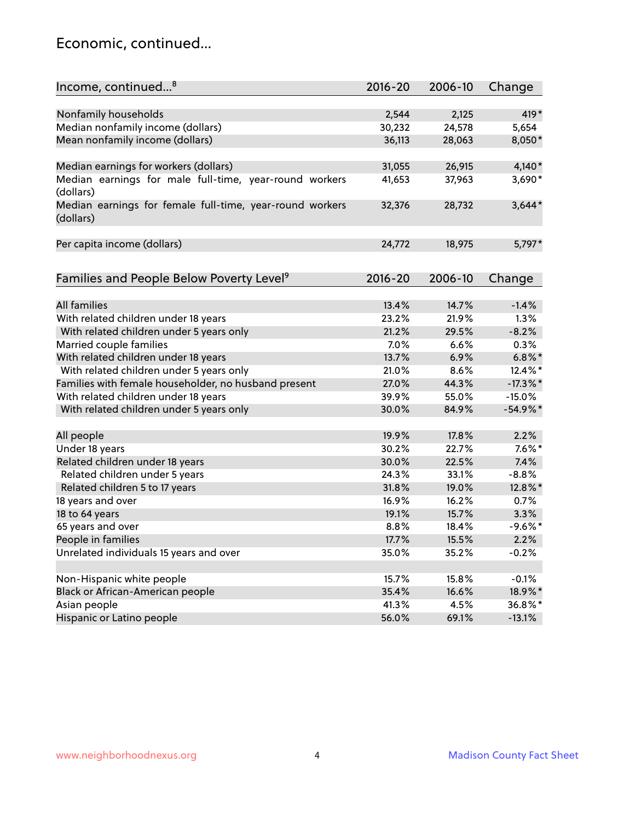#### Economic, continued...

| Income, continued <sup>8</sup>                                        | 2016-20 | 2006-10 | Change      |
|-----------------------------------------------------------------------|---------|---------|-------------|
|                                                                       |         |         |             |
| Nonfamily households                                                  | 2,544   | 2,125   | 419*        |
| Median nonfamily income (dollars)                                     | 30,232  | 24,578  | 5,654       |
| Mean nonfamily income (dollars)                                       | 36,113  | 28,063  | 8,050*      |
| Median earnings for workers (dollars)                                 | 31,055  | 26,915  | $4,140*$    |
| Median earnings for male full-time, year-round workers                | 41,653  | 37,963  | 3,690*      |
| (dollars)                                                             |         |         |             |
| Median earnings for female full-time, year-round workers<br>(dollars) | 32,376  | 28,732  | $3,644*$    |
| Per capita income (dollars)                                           | 24,772  | 18,975  | 5,797*      |
|                                                                       |         |         |             |
| Families and People Below Poverty Level <sup>9</sup>                  | 2016-20 | 2006-10 | Change      |
|                                                                       |         |         |             |
| <b>All families</b>                                                   | 13.4%   | 14.7%   | $-1.4%$     |
| With related children under 18 years                                  | 23.2%   | 21.9%   | 1.3%        |
| With related children under 5 years only                              | 21.2%   | 29.5%   | $-8.2%$     |
| Married couple families                                               | 7.0%    | 6.6%    | 0.3%        |
| With related children under 18 years                                  | 13.7%   | 6.9%    | $6.8\%$ *   |
| With related children under 5 years only                              | 21.0%   | 8.6%    | 12.4%*      |
| Families with female householder, no husband present                  | 27.0%   | 44.3%   | $-17.3\%$ * |
| With related children under 18 years                                  | 39.9%   | 55.0%   | $-15.0%$    |
| With related children under 5 years only                              | 30.0%   | 84.9%   | $-54.9%$ *  |
| All people                                                            | 19.9%   | 17.8%   | 2.2%        |
| Under 18 years                                                        | 30.2%   | 22.7%   | $7.6\%$ *   |
| Related children under 18 years                                       | 30.0%   | 22.5%   | 7.4%        |
| Related children under 5 years                                        | 24.3%   | 33.1%   | $-8.8%$     |
| Related children 5 to 17 years                                        | 31.8%   | 19.0%   | 12.8%*      |
| 18 years and over                                                     | 16.9%   | 16.2%   | 0.7%        |
| 18 to 64 years                                                        | 19.1%   | 15.7%   | 3.3%        |
| 65 years and over                                                     | 8.8%    | 18.4%   | $-9.6%$ *   |
| People in families                                                    | 17.7%   | 15.5%   | 2.2%        |
| Unrelated individuals 15 years and over                               | 35.0%   | 35.2%   | $-0.2%$     |
|                                                                       |         |         |             |
| Non-Hispanic white people                                             | 15.7%   | 15.8%   | $-0.1%$     |
| Black or African-American people                                      | 35.4%   | 16.6%   | 18.9%*      |
| Asian people                                                          | 41.3%   | 4.5%    | 36.8%*      |
| Hispanic or Latino people                                             | 56.0%   | 69.1%   | $-13.1%$    |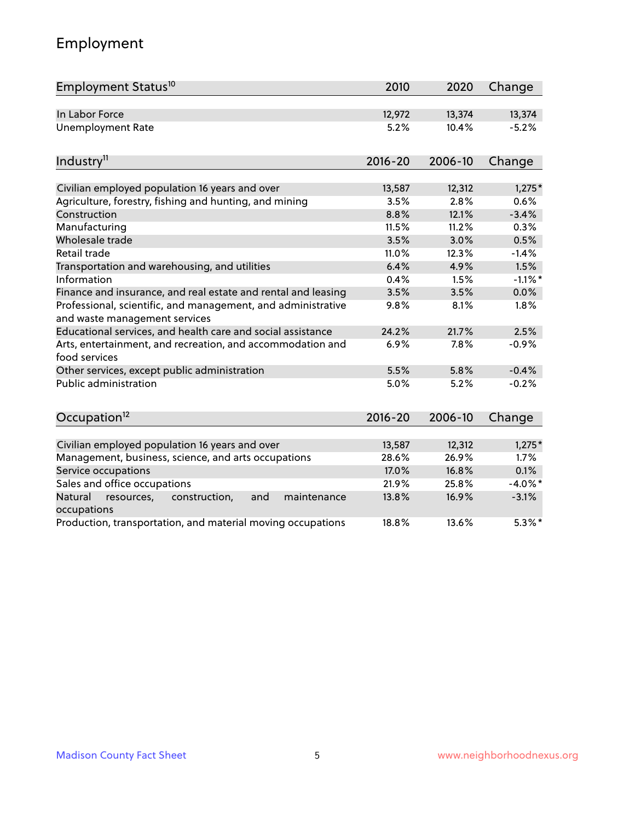### Employment

| Employment Status <sup>10</sup>                                                               | 2010        | 2020    | Change     |
|-----------------------------------------------------------------------------------------------|-------------|---------|------------|
| In Labor Force                                                                                | 12,972      | 13,374  | 13,374     |
| <b>Unemployment Rate</b>                                                                      | 5.2%        | 10.4%   | $-5.2%$    |
| Industry <sup>11</sup>                                                                        | $2016 - 20$ | 2006-10 | Change     |
|                                                                                               |             |         |            |
| Civilian employed population 16 years and over                                                | 13,587      | 12,312  | $1,275*$   |
| Agriculture, forestry, fishing and hunting, and mining                                        | 3.5%        | 2.8%    | 0.6%       |
| Construction                                                                                  | 8.8%        | 12.1%   | $-3.4%$    |
| Manufacturing                                                                                 | 11.5%       | 11.2%   | 0.3%       |
| Wholesale trade                                                                               | 3.5%        | 3.0%    | 0.5%       |
| Retail trade                                                                                  | 11.0%       | 12.3%   | $-1.4%$    |
| Transportation and warehousing, and utilities                                                 | 6.4%        | 4.9%    | 1.5%       |
| Information                                                                                   | 0.4%        | 1.5%    | $-1.1\%$ * |
| Finance and insurance, and real estate and rental and leasing                                 | 3.5%        | 3.5%    | 0.0%       |
| Professional, scientific, and management, and administrative<br>and waste management services | 9.8%        | 8.1%    | 1.8%       |
| Educational services, and health care and social assistance                                   | 24.2%       | 21.7%   | 2.5%       |
| Arts, entertainment, and recreation, and accommodation and<br>food services                   | 6.9%        | 7.8%    | $-0.9%$    |
| Other services, except public administration                                                  | 5.5%        | 5.8%    | $-0.4%$    |
| <b>Public administration</b>                                                                  | 5.0%        | 5.2%    | $-0.2%$    |
| Occupation <sup>12</sup>                                                                      | $2016 - 20$ | 2006-10 | Change     |
|                                                                                               |             |         |            |
| Civilian employed population 16 years and over                                                | 13,587      | 12,312  | $1,275*$   |
| Management, business, science, and arts occupations                                           | 28.6%       | 26.9%   | 1.7%       |
| Service occupations                                                                           | 17.0%       | 16.8%   | 0.1%       |
| Sales and office occupations                                                                  | 21.9%       | 25.8%   | $-4.0\%$ * |
| Natural<br>resources,<br>construction,<br>and<br>maintenance<br>occupations                   | 13.8%       | 16.9%   | $-3.1%$    |
| Production, transportation, and material moving occupations                                   | 18.8%       | 13.6%   | $5.3\%$ *  |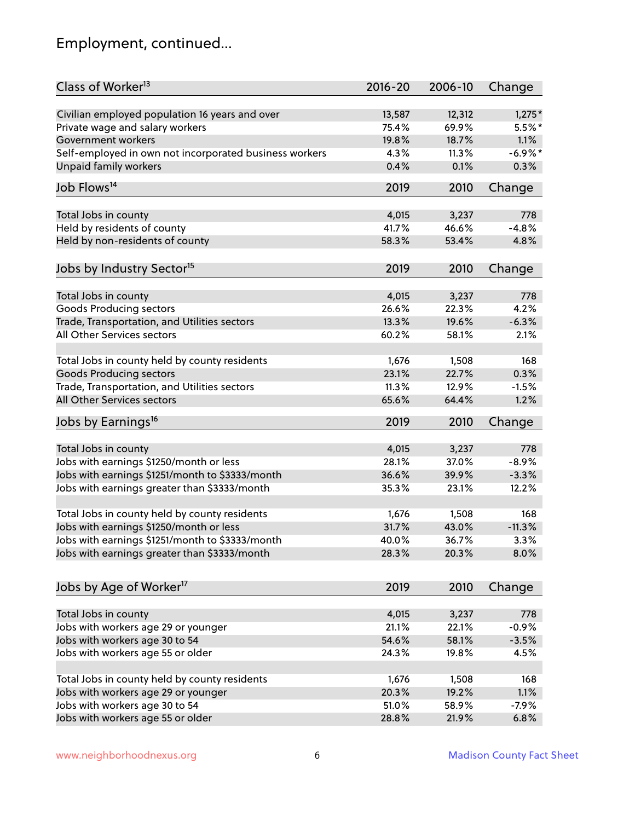### Employment, continued...

| Class of Worker <sup>13</sup>                          | $2016 - 20$    | 2006-10        | Change     |
|--------------------------------------------------------|----------------|----------------|------------|
| Civilian employed population 16 years and over         | 13,587         | 12,312         | $1,275*$   |
| Private wage and salary workers                        | 75.4%          | 69.9%          | $5.5%$ *   |
| Government workers                                     | 19.8%          | 18.7%          | 1.1%       |
| Self-employed in own not incorporated business workers | 4.3%           | 11.3%          | $-6.9\%$ * |
| Unpaid family workers                                  | 0.4%           | 0.1%           | 0.3%       |
| Job Flows <sup>14</sup>                                | 2019           | 2010           | Change     |
|                                                        |                |                |            |
| Total Jobs in county                                   | 4,015<br>41.7% | 3,237<br>46.6% | 778        |
| Held by residents of county                            |                |                | $-4.8%$    |
| Held by non-residents of county                        | 58.3%          | 53.4%          | 4.8%       |
| Jobs by Industry Sector <sup>15</sup>                  | 2019           | 2010           | Change     |
| Total Jobs in county                                   | 4,015          | 3,237          | 778        |
| Goods Producing sectors                                | 26.6%          | 22.3%          | 4.2%       |
| Trade, Transportation, and Utilities sectors           | 13.3%          | 19.6%          | $-6.3%$    |
| All Other Services sectors                             | 60.2%          | 58.1%          | 2.1%       |
|                                                        |                |                |            |
| Total Jobs in county held by county residents          | 1,676          | 1,508          | 168        |
| <b>Goods Producing sectors</b>                         | 23.1%          | 22.7%          | 0.3%       |
| Trade, Transportation, and Utilities sectors           | 11.3%          | 12.9%          | $-1.5%$    |
| All Other Services sectors                             | 65.6%          | 64.4%          | 1.2%       |
| Jobs by Earnings <sup>16</sup>                         | 2019           | 2010           | Change     |
| Total Jobs in county                                   | 4,015          |                | 778        |
| Jobs with earnings \$1250/month or less                | 28.1%          | 3,237<br>37.0% | $-8.9%$    |
|                                                        | 36.6%          | 39.9%          |            |
| Jobs with earnings \$1251/month to \$3333/month        |                |                | $-3.3%$    |
| Jobs with earnings greater than \$3333/month           | 35.3%          | 23.1%          | 12.2%      |
| Total Jobs in county held by county residents          | 1,676          | 1,508          | 168        |
| Jobs with earnings \$1250/month or less                | 31.7%          | 43.0%          | $-11.3%$   |
| Jobs with earnings \$1251/month to \$3333/month        | 40.0%          | 36.7%          | $3.3\%$    |
| Jobs with earnings greater than \$3333/month           | 28.3%          | 20.3%          | 8.0%       |
| Jobs by Age of Worker <sup>17</sup>                    | 2019           | 2010           | Change     |
|                                                        |                |                |            |
| Total Jobs in county                                   | 4,015          | 3,237          | 778        |
| Jobs with workers age 29 or younger                    | 21.1%          | 22.1%          | $-0.9%$    |
| Jobs with workers age 30 to 54                         | 54.6%          | 58.1%          | $-3.5%$    |
| Jobs with workers age 55 or older                      | 24.3%          | 19.8%          | 4.5%       |
| Total Jobs in county held by county residents          | 1,676          | 1,508          | 168        |
| Jobs with workers age 29 or younger                    | 20.3%          | 19.2%          | 1.1%       |
| Jobs with workers age 30 to 54                         | 51.0%          | 58.9%          | $-7.9%$    |
| Jobs with workers age 55 or older                      | 28.8%          | 21.9%          | 6.8%       |
|                                                        |                |                |            |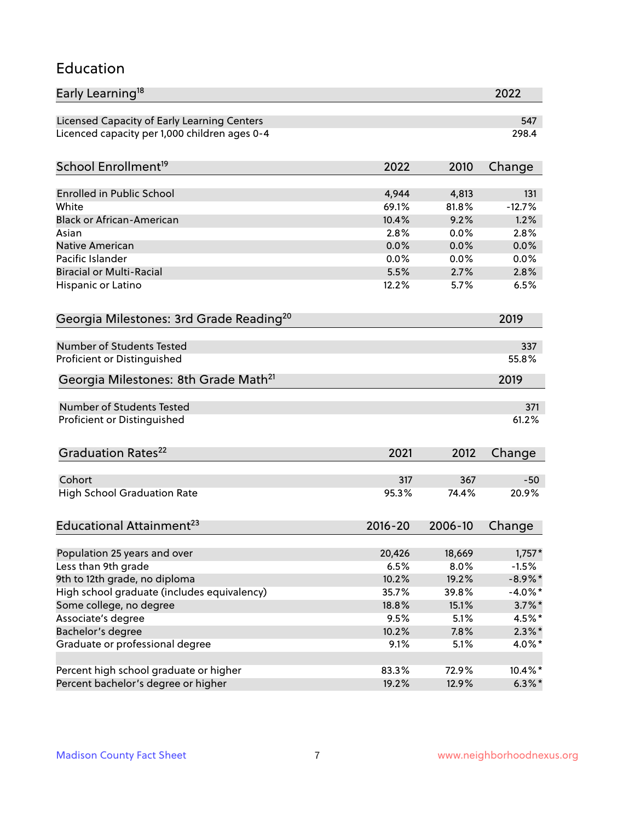#### Education

| Early Learning <sup>18</sup>                        |             |         | 2022       |
|-----------------------------------------------------|-------------|---------|------------|
| Licensed Capacity of Early Learning Centers         |             |         | 547        |
| Licenced capacity per 1,000 children ages 0-4       |             |         | 298.4      |
| School Enrollment <sup>19</sup>                     | 2022        | 2010    | Change     |
|                                                     |             |         |            |
| <b>Enrolled in Public School</b>                    | 4,944       | 4,813   | 131        |
| White                                               | 69.1%       | 81.8%   | $-12.7%$   |
| <b>Black or African-American</b>                    | 10.4%       | 9.2%    | 1.2%       |
| Asian                                               | 2.8%        | 0.0%    | 2.8%       |
| <b>Native American</b>                              | 0.0%        | 0.0%    | 0.0%       |
| Pacific Islander                                    | 0.0%        | 0.0%    | 0.0%       |
| <b>Biracial or Multi-Racial</b>                     | 5.5%        | 2.7%    | 2.8%       |
| Hispanic or Latino                                  | 12.2%       | 5.7%    | 6.5%       |
| Georgia Milestones: 3rd Grade Reading <sup>20</sup> |             |         | 2019       |
|                                                     |             |         |            |
| Number of Students Tested                           |             |         | 337        |
| Proficient or Distinguished                         |             |         | 55.8%      |
| Georgia Milestones: 8th Grade Math <sup>21</sup>    |             |         | 2019       |
| <b>Number of Students Tested</b>                    |             |         | 371        |
| Proficient or Distinguished                         |             |         | 61.2%      |
|                                                     |             |         |            |
| Graduation Rates <sup>22</sup>                      | 2021        | 2012    | Change     |
|                                                     |             |         |            |
| Cohort                                              | 317         | 367     | $-50$      |
| <b>High School Graduation Rate</b>                  | 95.3%       | 74.4%   | 20.9%      |
| Educational Attainment <sup>23</sup>                | $2016 - 20$ | 2006-10 | Change     |
|                                                     |             |         |            |
| Population 25 years and over                        | 20,426      | 18,669  | $1,757*$   |
| Less than 9th grade                                 | 6.5%        | 8.0%    | $-1.5%$    |
| 9th to 12th grade, no diploma                       | 10.2%       | 19.2%   | $-8.9\%$ * |
| High school graduate (includes equivalency)         | 35.7%       | 39.8%   | $-4.0\%$ * |
| Some college, no degree                             | 18.8%       | 15.1%   | $3.7\%$ *  |
| Associate's degree                                  | 9.5%        | 5.1%    | 4.5%*      |
| Bachelor's degree                                   | 10.2%       | 7.8%    | $2.3\%$ *  |
| Graduate or professional degree                     | 9.1%        | 5.1%    | 4.0%*      |
| Percent high school graduate or higher              | 83.3%       | 72.9%   | 10.4%*     |
| Percent bachelor's degree or higher                 | 19.2%       | 12.9%   | $6.3\%$ *  |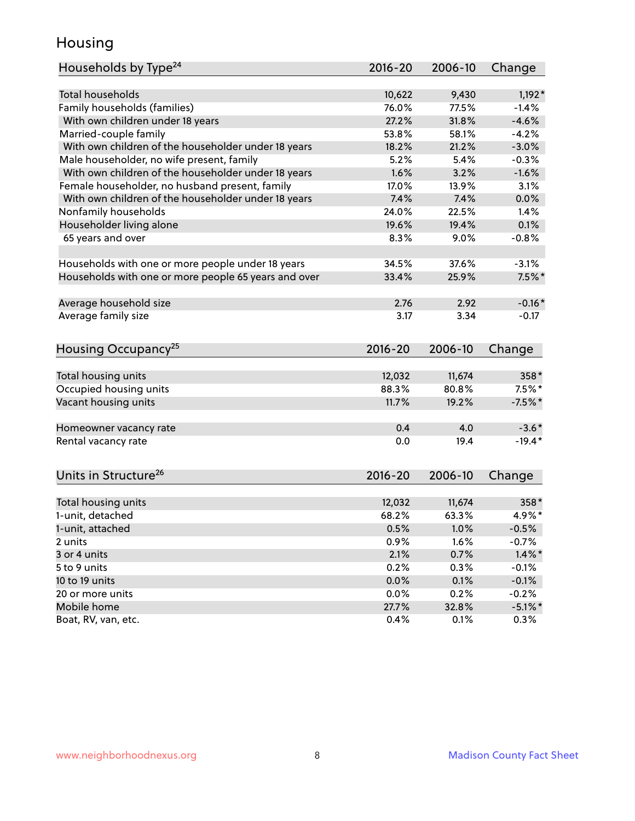#### Housing

| Households by Type <sup>24</sup>                     | 2016-20     | 2006-10 | Change     |
|------------------------------------------------------|-------------|---------|------------|
|                                                      |             |         |            |
| <b>Total households</b>                              | 10,622      | 9,430   | $1,192*$   |
| Family households (families)                         | 76.0%       | 77.5%   | $-1.4%$    |
| With own children under 18 years                     | 27.2%       | 31.8%   | $-4.6%$    |
| Married-couple family                                | 53.8%       | 58.1%   | $-4.2%$    |
| With own children of the householder under 18 years  | 18.2%       | 21.2%   | $-3.0%$    |
| Male householder, no wife present, family            | 5.2%        | 5.4%    | $-0.3%$    |
| With own children of the householder under 18 years  | 1.6%        | 3.2%    | $-1.6%$    |
| Female householder, no husband present, family       | 17.0%       | 13.9%   | 3.1%       |
| With own children of the householder under 18 years  | 7.4%        | 7.4%    | 0.0%       |
| Nonfamily households                                 | 24.0%       | 22.5%   | 1.4%       |
| Householder living alone                             | 19.6%       | 19.4%   | 0.1%       |
| 65 years and over                                    | 8.3%        | 9.0%    | $-0.8%$    |
|                                                      |             |         |            |
| Households with one or more people under 18 years    | 34.5%       | 37.6%   | $-3.1%$    |
| Households with one or more people 65 years and over | 33.4%       | 25.9%   | $7.5\%$ *  |
| Average household size                               | 2.76        | 2.92    | $-0.16*$   |
| Average family size                                  | 3.17        | 3.34    | $-0.17$    |
|                                                      |             |         |            |
| Housing Occupancy <sup>25</sup>                      | 2016-20     | 2006-10 | Change     |
|                                                      |             |         |            |
| Total housing units                                  | 12,032      | 11,674  | 358*       |
| Occupied housing units                               | 88.3%       | 80.8%   | $7.5\%$ *  |
| Vacant housing units                                 | 11.7%       | 19.2%   | $-7.5%$ *  |
| Homeowner vacancy rate                               | 0.4         | 4.0     | $-3.6*$    |
| Rental vacancy rate                                  | 0.0         | 19.4    | $-19.4*$   |
|                                                      |             |         |            |
| Units in Structure <sup>26</sup>                     | $2016 - 20$ | 2006-10 | Change     |
| Total housing units                                  | 12,032      | 11,674  | 358*       |
| 1-unit, detached                                     | 68.2%       | 63.3%   | 4.9%*      |
| 1-unit, attached                                     | 0.5%        | 1.0%    | $-0.5%$    |
| 2 units                                              | 0.9%        | 1.6%    | $-0.7%$    |
| 3 or 4 units                                         | 2.1%        | 0.7%    | $1.4\%$ *  |
| 5 to 9 units                                         | 0.2%        | 0.3%    | $-0.1%$    |
| 10 to 19 units                                       | 0.0%        | 0.1%    | $-0.1%$    |
| 20 or more units                                     | 0.0%        | 0.2%    | $-0.2%$    |
| Mobile home                                          | 27.7%       | 32.8%   | $-5.1\%$ * |
| Boat, RV, van, etc.                                  | 0.4%        | 0.1%    | $0.3\%$    |
|                                                      |             |         |            |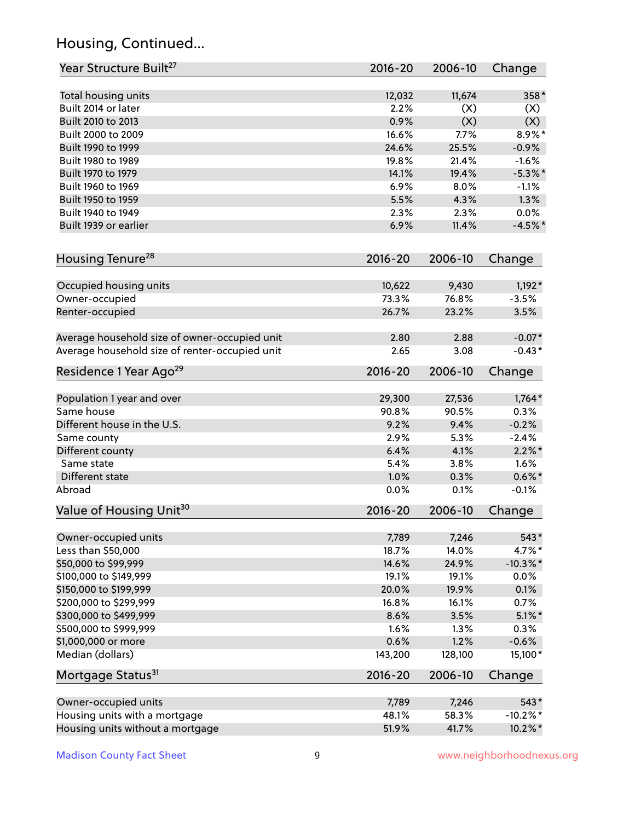### Housing, Continued...

| Year Structure Built <sup>27</sup>             | 2016-20     | 2006-10 | Change      |
|------------------------------------------------|-------------|---------|-------------|
| Total housing units                            | 12,032      | 11,674  | $358*$      |
| Built 2014 or later                            | 2.2%        | (X)     | (X)         |
| Built 2010 to 2013                             | 0.9%        | (X)     | (X)         |
| Built 2000 to 2009                             | 16.6%       | 7.7%    | $8.9\%$ *   |
| Built 1990 to 1999                             | 24.6%       | 25.5%   | $-0.9%$     |
| Built 1980 to 1989                             | 19.8%       | 21.4%   | $-1.6%$     |
| Built 1970 to 1979                             | 14.1%       | 19.4%   | $-5.3\%$ *  |
| Built 1960 to 1969                             | 6.9%        | 8.0%    | $-1.1%$     |
| Built 1950 to 1959                             | 5.5%        | 4.3%    | 1.3%        |
| Built 1940 to 1949                             | 2.3%        | 2.3%    | 0.0%        |
| Built 1939 or earlier                          | 6.9%        | 11.4%   | $-4.5%$ *   |
| Housing Tenure <sup>28</sup>                   | $2016 - 20$ | 2006-10 | Change      |
| Occupied housing units                         | 10,622      | 9,430   | $1,192*$    |
| Owner-occupied                                 | 73.3%       | 76.8%   | $-3.5%$     |
| Renter-occupied                                | 26.7%       | 23.2%   | 3.5%        |
| Average household size of owner-occupied unit  | 2.80        | 2.88    | $-0.07*$    |
| Average household size of renter-occupied unit | 2.65        | 3.08    | $-0.43*$    |
| Residence 1 Year Ago <sup>29</sup>             | $2016 - 20$ | 2006-10 | Change      |
| Population 1 year and over                     | 29,300      | 27,536  | $1,764*$    |
| Same house                                     | 90.8%       | 90.5%   | 0.3%        |
| Different house in the U.S.                    | 9.2%        | 9.4%    | $-0.2%$     |
| Same county                                    | 2.9%        | 5.3%    | $-2.4%$     |
| Different county                               | 6.4%        | 4.1%    | $2.2\%$ *   |
| Same state                                     | 5.4%        | 3.8%    | 1.6%        |
| Different state                                | 1.0%        | 0.3%    | $0.6\%$ *   |
| Abroad                                         | 0.0%        | 0.1%    | $-0.1%$     |
| Value of Housing Unit <sup>30</sup>            | $2016 - 20$ | 2006-10 | Change      |
| Owner-occupied units                           | 7,789       | 7,246   | 543*        |
| Less than \$50,000                             | 18.7%       | 14.0%   | $4.7\%$ *   |
| \$50,000 to \$99,999                           | 14.6%       | 24.9%   | $-10.3\%$ * |
| \$100,000 to \$149,999                         | 19.1%       | 19.1%   | 0.0%        |
| \$150,000 to \$199,999                         | 20.0%       | 19.9%   | 0.1%        |
| \$200,000 to \$299,999                         | 16.8%       | 16.1%   | 0.7%        |
| \$300,000 to \$499,999                         | 8.6%        | 3.5%    | $5.1\%$ *   |
| \$500,000 to \$999,999                         | 1.6%        | 1.3%    | 0.3%        |
| \$1,000,000 or more                            | 0.6%        | 1.2%    | $-0.6%$     |
| Median (dollars)                               | 143,200     | 128,100 | 15,100*     |
| Mortgage Status <sup>31</sup>                  | $2016 - 20$ | 2006-10 | Change      |
| Owner-occupied units                           | 7,789       | 7,246   | 543*        |
| Housing units with a mortgage                  | 48.1%       | 58.3%   | $-10.2\%$ * |
| Housing units without a mortgage               | 51.9%       | 41.7%   | 10.2%*      |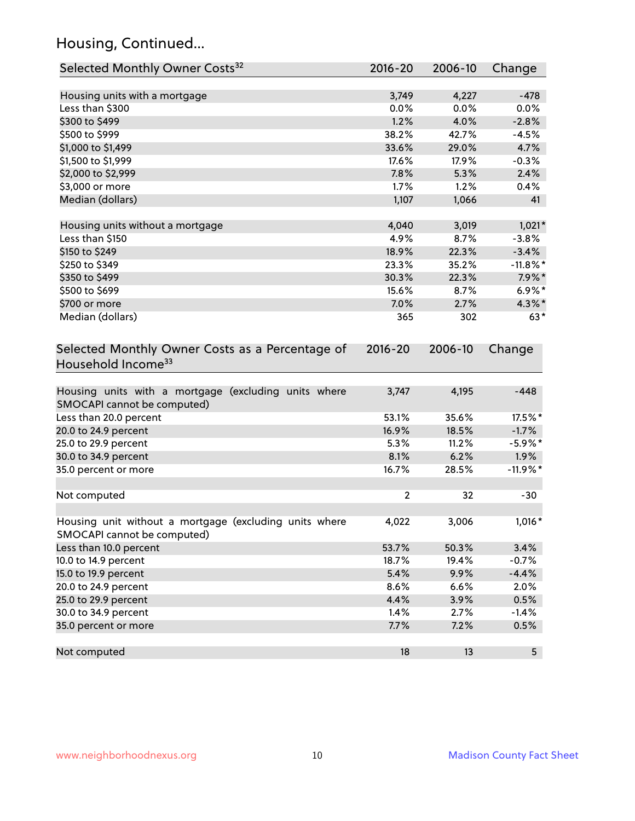### Housing, Continued...

| Selected Monthly Owner Costs <sup>32</sup>                                            | 2016-20      | 2006-10 | Change         |
|---------------------------------------------------------------------------------------|--------------|---------|----------------|
| Housing units with a mortgage                                                         | 3,749        | 4,227   | $-478$         |
| Less than \$300                                                                       | 0.0%         | 0.0%    | 0.0%           |
| \$300 to \$499                                                                        | 1.2%         | 4.0%    | $-2.8%$        |
| \$500 to \$999                                                                        | 38.2%        | 42.7%   | $-4.5%$        |
| \$1,000 to \$1,499                                                                    | 33.6%        | 29.0%   | 4.7%           |
| \$1,500 to \$1,999                                                                    | 17.6%        | 17.9%   | $-0.3%$        |
| \$2,000 to \$2,999                                                                    | 7.8%         | 5.3%    | 2.4%           |
| \$3,000 or more                                                                       | 1.7%         | 1.2%    | 0.4%           |
| Median (dollars)                                                                      | 1,107        | 1,066   | 41             |
|                                                                                       |              |         |                |
| Housing units without a mortgage                                                      | 4,040        | 3,019   | $1,021*$       |
| Less than \$150                                                                       | 4.9%         | 8.7%    | $-3.8%$        |
| \$150 to \$249                                                                        | 18.9%        | 22.3%   | $-3.4%$        |
| \$250 to \$349                                                                        | 23.3%        | 35.2%   | $-11.8\%$ *    |
| \$350 to \$499                                                                        | 30.3%        | 22.3%   | $7.9\%$ *      |
| \$500 to \$699                                                                        | 15.6%        | 8.7%    | $6.9\%*$       |
| \$700 or more                                                                         | 7.0%         | 2.7%    | 4.3%*          |
| Median (dollars)                                                                      | 365          | 302     | $63*$          |
| Selected Monthly Owner Costs as a Percentage of<br>Household Income <sup>33</sup>     |              |         | Change         |
| Housing units with a mortgage (excluding units where<br>SMOCAPI cannot be computed)   | 3,747        | 4,195   | $-448$         |
| Less than 20.0 percent                                                                | 53.1%        | 35.6%   | 17.5%*         |
| 20.0 to 24.9 percent                                                                  | 16.9%        | 18.5%   | $-1.7%$        |
| 25.0 to 29.9 percent                                                                  | 5.3%         | 11.2%   | $-5.9\%$ *     |
| 30.0 to 34.9 percent                                                                  | 8.1%         | 6.2%    | $1.9\%$        |
| 35.0 percent or more                                                                  | 16.7%        | 28.5%   | $-11.9%$ *     |
| Not computed                                                                          | $\mathbf{2}$ | 32      | $-30$          |
| Housing unit without a mortgage (excluding units where<br>SMOCAPI cannot be computed) | 4,022        | 3,006   | 1,016*         |
| Less than 10.0 percent                                                                | 53.7%        | 50.3%   | 3.4%           |
| 10.0 to 14.9 percent                                                                  | 18.7%        | 19.4%   | $-0.7%$        |
| 15.0 to 19.9 percent                                                                  | 5.4%         | 9.9%    | $-4.4%$        |
| 20.0 to 24.9 percent                                                                  | 8.6%         | 6.6%    | 2.0%           |
| 25.0 to 29.9 percent                                                                  | 4.4%         | 3.9%    | 0.5%           |
| 30.0 to 34.9 percent                                                                  | 1.4%         | 2.7%    | $-1.4%$        |
| 35.0 percent or more                                                                  | 7.7%         | 7.2%    | 0.5%           |
| Not computed                                                                          | 18           | 13      | 5 <sup>5</sup> |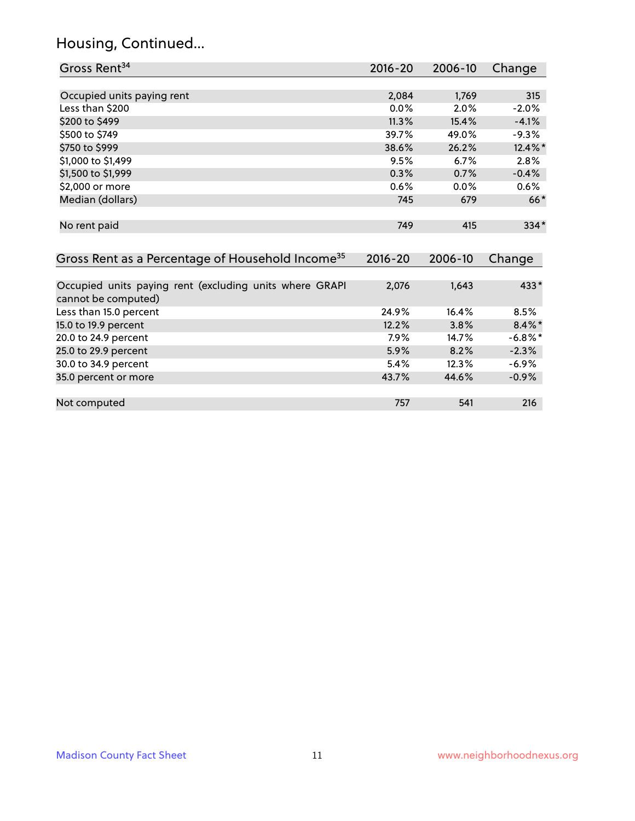### Housing, Continued...

| Gross Rent <sup>34</sup>                                                       | 2016-20     | 2006-10 | Change     |
|--------------------------------------------------------------------------------|-------------|---------|------------|
|                                                                                |             |         |            |
| Occupied units paying rent                                                     | 2,084       | 1,769   | 315        |
| Less than \$200                                                                | 0.0%        | 2.0%    | $-2.0%$    |
| \$200 to \$499                                                                 | 11.3%       | 15.4%   | $-4.1%$    |
| \$500 to \$749                                                                 | 39.7%       | 49.0%   | $-9.3%$    |
| \$750 to \$999                                                                 | 38.6%       | 26.2%   | 12.4%*     |
| \$1,000 to \$1,499                                                             | 9.5%        | 6.7%    | 2.8%       |
| \$1,500 to \$1,999                                                             | 0.3%        | 0.7%    | $-0.4%$    |
| \$2,000 or more                                                                | 0.6%        | 0.0%    | 0.6%       |
| Median (dollars)                                                               | 745         | 679     | $66*$      |
| No rent paid                                                                   | 749         | 415     | 334*       |
| Gross Rent as a Percentage of Household Income <sup>35</sup>                   | $2016 - 20$ | 2006-10 | Change     |
| Occupied units paying rent (excluding units where GRAPI<br>cannot be computed) | 2,076       | 1,643   | $433*$     |
| Less than 15.0 percent                                                         | 24.9%       | 16.4%   | 8.5%       |
| 15.0 to 19.9 percent                                                           | 12.2%       | 3.8%    | $8.4\%$ *  |
| 20.0 to 24.9 percent                                                           | 7.9%        | 14.7%   | $-6.8\%$ * |
| 25.0 to 29.9 percent                                                           | 5.9%        | 8.2%    | $-2.3%$    |
| 30.0 to 34.9 percent                                                           | 5.4%        | 12.3%   | $-6.9%$    |
| 35.0 percent or more                                                           | 43.7%       | 44.6%   | $-0.9%$    |
| Not computed                                                                   | 757         | 541     | 216        |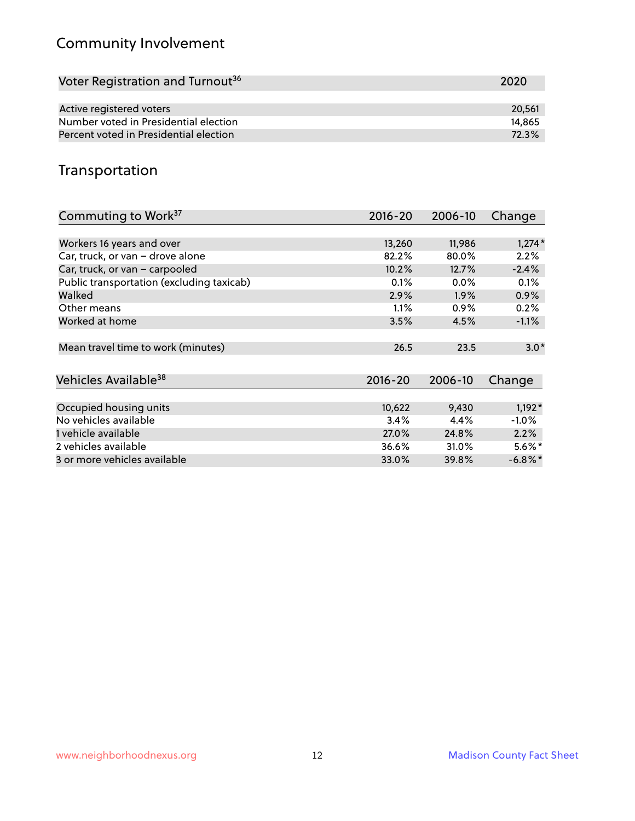### Community Involvement

| Voter Registration and Turnout <sup>36</sup> | 2020   |
|----------------------------------------------|--------|
|                                              |        |
| Active registered voters                     | 20.561 |
| Number voted in Presidential election        | 14.865 |
| Percent voted in Presidential election       | 72.3%  |

#### Transportation

| Commuting to Work <sup>37</sup>           | 2016-20     | 2006-10 | Change     |
|-------------------------------------------|-------------|---------|------------|
|                                           |             |         |            |
| Workers 16 years and over                 | 13,260      | 11,986  | $1,274*$   |
| Car, truck, or van - drove alone          | 82.2%       | 80.0%   | 2.2%       |
| Car, truck, or van - carpooled            | 10.2%       | 12.7%   | $-2.4%$    |
| Public transportation (excluding taxicab) | 0.1%        | $0.0\%$ | 0.1%       |
| Walked                                    | 2.9%        | $1.9\%$ | 0.9%       |
| Other means                               | 1.1%        | $0.9\%$ | 0.2%       |
| Worked at home                            | 3.5%        | 4.5%    | $-1.1%$    |
| Mean travel time to work (minutes)        | 26.5        | 23.5    | $3.0*$     |
| Vehicles Available <sup>38</sup>          | $2016 - 20$ | 2006-10 | Change     |
| Occupied housing units                    | 10,622      | 9,430   | $1,192*$   |
| No vehicles available                     | 3.4%        | 4.4%    | $-1.0%$    |
| 1 vehicle available                       | 27.0%       | 24.8%   | 2.2%       |
| 2 vehicles available                      | 36.6%       | 31.0%   | $5.6\%$ *  |
| 3 or more vehicles available              | 33.0%       | 39.8%   | $-6.8\%$ * |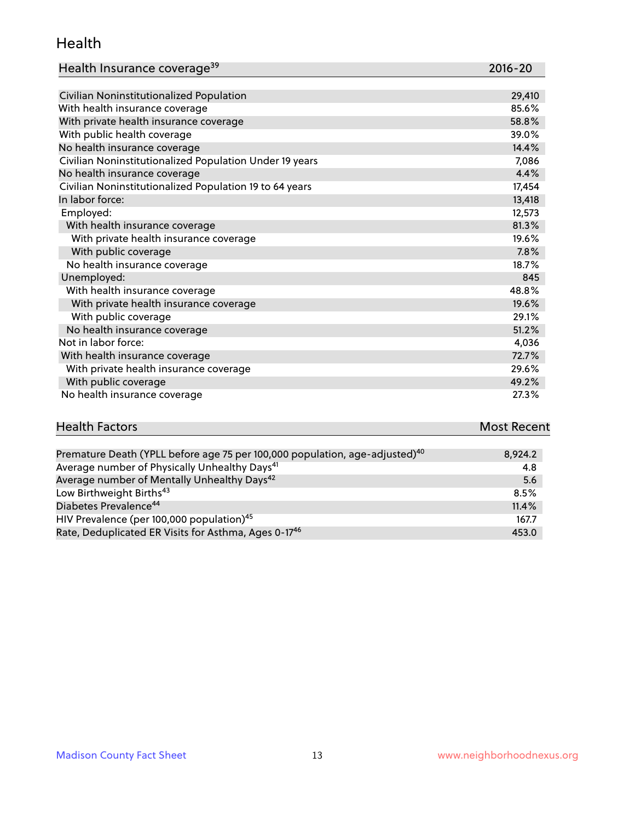#### Health

| Health Insurance coverage <sup>39</sup> | 2016-20 |
|-----------------------------------------|---------|
|-----------------------------------------|---------|

| Civilian Noninstitutionalized Population                | 29,410 |
|---------------------------------------------------------|--------|
| With health insurance coverage                          | 85.6%  |
| With private health insurance coverage                  | 58.8%  |
| With public health coverage                             | 39.0%  |
| No health insurance coverage                            | 14.4%  |
| Civilian Noninstitutionalized Population Under 19 years | 7,086  |
| No health insurance coverage                            | 4.4%   |
| Civilian Noninstitutionalized Population 19 to 64 years | 17,454 |
| In labor force:                                         | 13,418 |
| Employed:                                               | 12,573 |
| With health insurance coverage                          | 81.3%  |
| With private health insurance coverage                  | 19.6%  |
| With public coverage                                    | 7.8%   |
| No health insurance coverage                            | 18.7%  |
| Unemployed:                                             | 845    |
| With health insurance coverage                          | 48.8%  |
| With private health insurance coverage                  | 19.6%  |
| With public coverage                                    | 29.1%  |
| No health insurance coverage                            | 51.2%  |
| Not in labor force:                                     | 4,036  |
| With health insurance coverage                          | 72.7%  |
| With private health insurance coverage                  | 29.6%  |
| With public coverage                                    | 49.2%  |
| No health insurance coverage                            | 27.3%  |

# **Health Factors Most Recent**

| Premature Death (YPLL before age 75 per 100,000 population, age-adjusted) <sup>40</sup> | 8,924.2 |
|-----------------------------------------------------------------------------------------|---------|
| Average number of Physically Unhealthy Days <sup>41</sup>                               | 4.8     |
| Average number of Mentally Unhealthy Days <sup>42</sup>                                 | 5.6     |
| Low Birthweight Births <sup>43</sup>                                                    | 8.5%    |
| Diabetes Prevalence <sup>44</sup>                                                       | 11.4%   |
| HIV Prevalence (per 100,000 population) <sup>45</sup>                                   | 167.7   |
| Rate, Deduplicated ER Visits for Asthma, Ages 0-17 <sup>46</sup>                        | 453.0   |